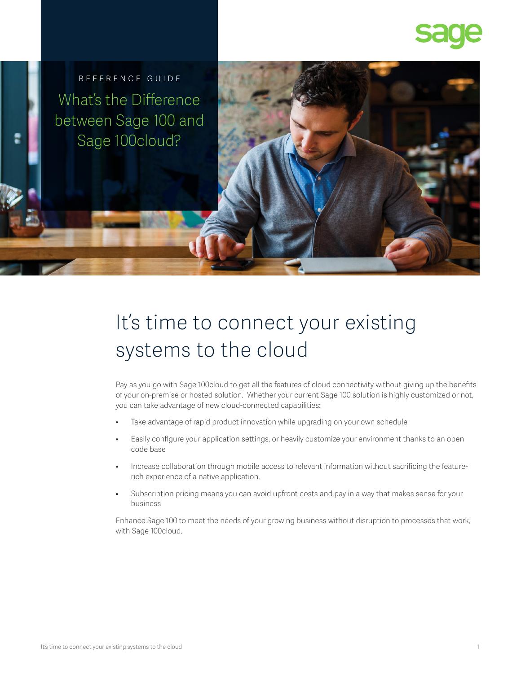

REFERENCE GUIDE What's the Difference between Sage 100 and Sage 100cloud?

# It's time to connect your existing systems to the cloud

Pay as you go with Sage 100cloud to get all the features of cloud connectivity without giving up the benefits of your on-premise or hosted solution. Whether your current Sage 100 solution is highly customized or not, you can take advantage of new cloud-connected capabilities:

- Take advantage of rapid product innovation while upgrading on your own schedule
- Easily configure your application settings, or heavily customize your environment thanks to an open code base
- Increase collaboration through mobile access to relevant information without sacrificing the featurerich experience of a native application.
- Subscription pricing means you can avoid upfront costs and pay in a way that makes sense for your business

Enhance Sage 100 to meet the needs of your growing business without disruption to processes that work, with Sage 100cloud.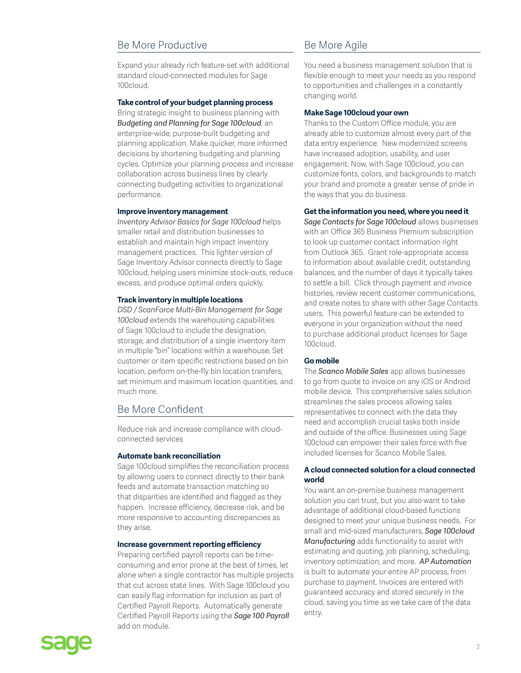# Be More Productive

Expand your already rich feature-set with additional standard cloud-connected modules for Sage 100cloud.

#### **Take control of your budget planning process**

Bring strategic insight to business planning with *Budgeting and Planning for Sage 100cloud*, an enterprise-wide, purpose-built budgeting and planning application. Make quicker, more informed decisions by shortening budgeting and planning cycles. Optimize your planning process and increase collaboration across business lines by clearly connecting budgeting activities to organizational performance.

#### **Improve inventory management**

*Inventory Advisor Basics for Sage 100cloud* helps smaller retail and distribution businesses to establish and maintain high impact inventory management practices. This lighter version of Sage Inventory Advisor connects directly to Sage 100cloud, helping users minimize stock-outs, reduce excess, and produce optimal orders quickly.

#### **Track inventory in multiple locations**

*DSD / ScanForce Multi-Bin Management for Sage 100cloud* extends the warehousing capabilities of Sage 100cloud to include the designation, storage, and distribution of a single inventory item in multiple "bin" locations within a warehouse. Set customer or item specific restrictions based on bin location, perform on-the-fly bin location transfers, set minimum and maximum location quantities, and much more.

## Be More Confident

Reduce risk and increase compliance with cloudconnected services

#### **Automate bank reconciliation**

Sage 100cloud simplifies the reconciliation process by allowing users to connect directly to their bank feeds and automate transaction matching so that disparities are identified and flagged as they happen. Increase efficiency, decrease risk, and be more responsive to accounting discrepancies as they arise.

#### **Increase government reporting efficiency**

Preparing certified payroll reports can be timeconsuming and error prone at the best of times, let alone when a single contractor has multiple projects that cut across state lines. With Sage 100cloud you can easily flag information for inclusion as part of Certified Payroll Reports. Automatically generate Certified Payroll Reports using the *Sage 100 Payroll*  add on module.

# Be More Agile

You need a business management solution that is flexible enough to meet your needs as you respond to opportunities and challenges in a constantly changing world.

#### **Make Sage 100cloud your own**

Thanks to the Custom Office module, you are already able to customize almost every part of the data entry experience. New modernized screens have increased adoption, usability, and user engagement. Now, with Sage 100cloud, you can customize fonts, colors, and backgrounds to match your brand and promote a greater sense of pride in the ways that you do business.

#### **Get the information you need, where you need it**

*Sage Contacts for Sage 100cloud* allows businesses with an Office 365 Business Premium subscription to look up customer contact information right from Outlook 365. Grant role-appropriate access to information about available credit, outstanding balances, and the number of days it typically takes to settle a bill. Click through payment and invoice histories, review recent customer communications, and create notes to share with other Sage Contacts users. This powerful feature can be extended to everyone in your organization without the need to purchase additional product licenses for Sage 100cloud.

#### **Go mobile**

The *Scanco Mobile Sales* app allows businesses to go from quote to invoice on any iOS or Android mobile device. This comprehensive sales solution streamlines the sales process allowing sales representatives to connect with the data they need and accomplish crucial tasks both inside and outside of the office. Businesses using Sage 100cloud can empower their sales force with five included licenses for Scanco Mobile Sales.

### **A cloud connected solution for a cloud connected world**

You want an on-premise business management solution you can trust, but you also want to take advantage of additional cloud-based functions designed to meet your unique business needs. For small and mid-sized manufacturers, *Sage 100cloud Manufacturing* adds functionality to assist with estimating and quoting, job planning, scheduling, inventory optimization, and more. *AP Automation* is built to automate your entire AP process, from purchase to payment. Invoices are entered with guaranteed accuracy and stored securely in the cloud, saving you time as we take care of the data entry.

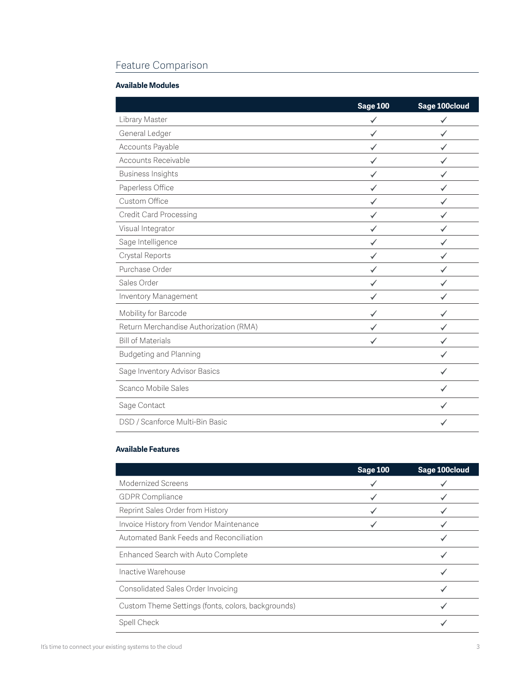# Feature Comparison

# **Available Modules**

|                                        | <b>Sage 100</b> | Sage 100cloud |
|----------------------------------------|-----------------|---------------|
| Library Master                         |                 |               |
| General Ledger                         |                 |               |
| Accounts Payable                       |                 |               |
| Accounts Receivable                    |                 |               |
| <b>Business Insights</b>               |                 |               |
| Paperless Office                       |                 |               |
| Custom Office                          |                 |               |
| Credit Card Processing                 |                 |               |
| Visual Integrator                      |                 |               |
| Sage Intelligence                      |                 |               |
| Crystal Reports                        |                 |               |
| Purchase Order                         |                 |               |
| Sales Order                            |                 |               |
| Inventory Management                   |                 |               |
| Mobility for Barcode                   |                 |               |
| Return Merchandise Authorization (RMA) |                 |               |
| <b>Bill of Materials</b>               |                 |               |
| <b>Budgeting and Planning</b>          |                 |               |
| Sage Inventory Advisor Basics          |                 | ✓             |
| Scanco Mobile Sales                    |                 |               |
| Sage Contact                           |                 |               |
| DSD / Scanforce Multi-Bin Basic        |                 |               |

# **Available Features**

|                                                    | <b>Sage 100</b> | Sage 100cloud |
|----------------------------------------------------|-----------------|---------------|
| Modernized Screens                                 |                 |               |
| <b>GDPR Compliance</b>                             |                 |               |
| Reprint Sales Order from History                   |                 |               |
| Invoice History from Vendor Maintenance            |                 |               |
| Automated Bank Feeds and Reconciliation            |                 |               |
| Enhanced Search with Auto Complete                 |                 |               |
| Inactive Warehouse                                 |                 |               |
| Consolidated Sales Order Invoicing                 |                 |               |
| Custom Theme Settings (fonts, colors, backgrounds) |                 |               |
| Spell Check                                        |                 |               |